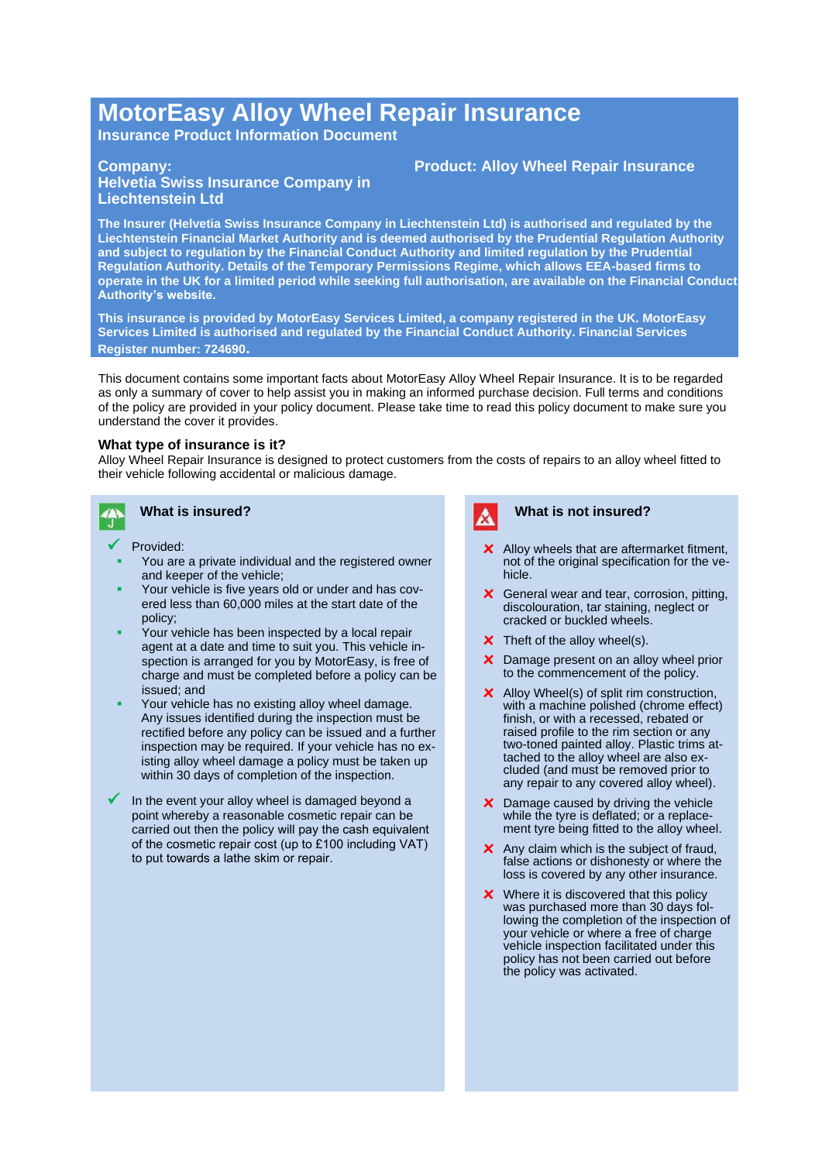# **MotorEasy Alloy Wheel Repair Insurance**

**Insurance Product Information Document**

#### **Company:**

## **Helvetia Swiss Insurance Company in Liechtenstein Ltd**

**The Insurer (Helvetia Swiss Insurance Company in Liechtenstein Ltd) is authorised and regulated by the Liechtenstein Financial Market Authority and is deemed authorised by the Prudential Regulation Authority and subject to regulation by the Financial Conduct Authority and limited regulation by the Prudential Regulation Authority. Details of the Temporary Permissions Regime, which allows EEA-based firms to operate in the UK for a limited period while seeking full authorisation, are available on the Financial Conduct Authority's website.**

**This insurance is provided by MotorEasy Services Limited, a company registered in the UK. MotorEasy Services Limited is authorised and regulated by the Financial Conduct Authority. Financial Services Register number: 724690.**

This document contains some important facts about MotorEasy Alloy Wheel Repair Insurance. It is to be regarded as only a summary of cover to help assist you in making an informed purchase decision. Full terms and conditions of the policy are provided in your policy document. Please take time to read this policy document to make sure you understand the cover it provides.

#### **What type of insurance is it?**

Alloy Wheel Repair Insurance is designed to protect customers from the costs of repairs to an alloy wheel fitted to their vehicle following accidental or malicious damage.



### **What is insured?**

- Provided:
- You are a private individual and the registered owner and keeper of the vehicle;
- Your vehicle is five years old or under and has covered less than 60,000 miles at the start date of the policy;
- Your vehicle has been inspected by a local repair agent at a date and time to suit you. This vehicle inspection is arranged for you by MotorEasy, is free of charge and must be completed before a policy can be issued; and
- Your vehicle has no existing alloy wheel damage. Any issues identified during the inspection must be rectified before any policy can be issued and a further inspection may be required. If your vehicle has no existing alloy wheel damage a policy must be taken up within 30 days of completion of the inspection.
- In the event your alloy wheel is damaged beyond a point whereby a reasonable cosmetic repair can be carried out then the policy will pay the cash equivalent of the cosmetic repair cost (up to £100 including VAT) to put towards a lathe skim or repair.



#### **What is not insured?**

**Product: Alloy Wheel Repair Insurance**

- **x** Alloy wheels that are aftermarket fitment, not of the original specification for the vehicle.
- **x** General wear and tear, corrosion, pitting, discolouration, tar staining, neglect or cracked or buckled wheels.
- **x** Theft of the alloy wheel(s).
- **x** Damage present on an alloy wheel prior to the commencement of the policy.
- **x** Alloy Wheel(s) of split rim construction, with a machine polished (chrome effect) finish, or with a recessed, rebated or raised profile to the rim section or any two-toned painted alloy. Plastic trims attached to the alloy wheel are also excluded (and must be removed prior to any repair to any covered alloy wheel).
- **x** Damage caused by driving the vehicle while the tyre is deflated; or a replacement tyre being fitted to the alloy wheel.
- **x** Any claim which is the subject of fraud, false actions or dishonesty or where the loss is covered by any other insurance.
- **x** Where it is discovered that this policy was purchased more than 30 days following the completion of the inspection of your vehicle or where a free of charge vehicle inspection facilitated under this policy has not been carried out before the policy was activated.